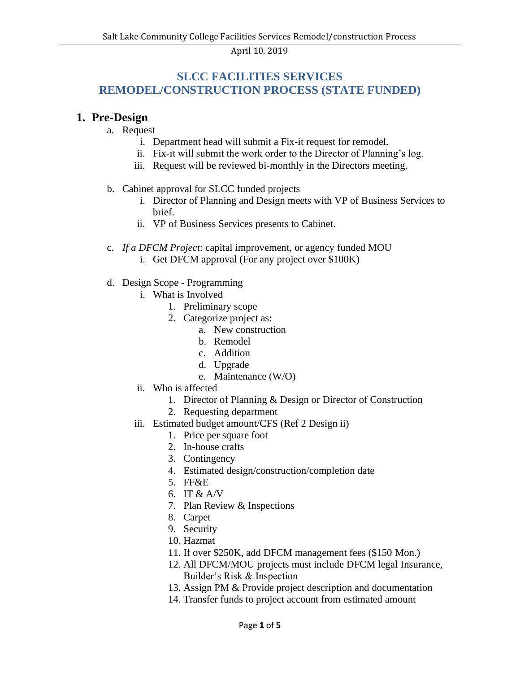# **SLCC FACILITIES SERVICES REMODEL/CONSTRUCTION PROCESS (STATE FUNDED)**

### **1. Pre-Design**

- a. Request
	- i. Department head will submit a Fix-it request for remodel.
	- ii. Fix-it will submit the work order to the Director of Planning's log.
	- iii. Request will be reviewed bi-monthly in the Directors meeting.

#### b. Cabinet approval for SLCC funded projects

- i. Director of Planning and Design meets with VP of Business Services to brief.
- ii. VP of Business Services presents to Cabinet.
- c. *If a DFCM Project*: capital improvement, or agency funded MOU
	- i. Get DFCM approval (For any project over \$100K)
- d. Design Scope Programming
	- i. What is Involved
		- 1. Preliminary scope
		- 2. Categorize project as:
			- a. New construction
			- b. Remodel
			- c. Addition
			- d. Upgrade
			- e. Maintenance (W/O)
	- ii. Who is affected
		- 1. Director of Planning & Design or Director of Construction
		- 2. Requesting department
	- iii. Estimated budget amount/CFS (Ref 2 Design ii)
		- 1. Price per square foot
		- 2. In-house crafts
		- 3. Contingency
		- 4. Estimated design/construction/completion date
		- 5. FF&E
		- 6. IT & A/V
		- 7. Plan Review & Inspections
		- 8. Carpet
		- 9. Security
		- 10. Hazmat
		- 11. If over \$250K, add DFCM management fees (\$150 Mon.)
		- 12. All DFCM/MOU projects must include DFCM legal Insurance, Builder's Risk & Inspection
		- 13. Assign PM & Provide project description and documentation
		- 14. Transfer funds to project account from estimated amount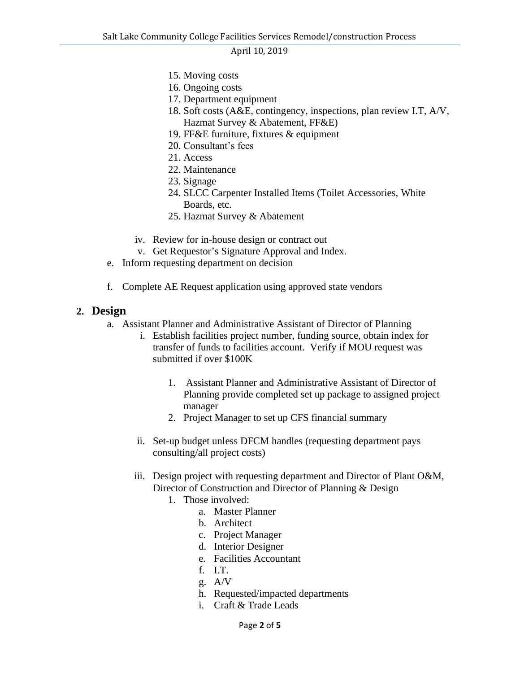- 15. Moving costs
- 16. Ongoing costs
- 17. Department equipment
- 18. Soft costs (A&E, contingency, inspections, plan review I.T, A/V, Hazmat Survey & Abatement, FF&E)
- 19. FF&E furniture, fixtures & equipment
- 20. Consultant's fees
- 21. Access
- 22. Maintenance
- 23. Signage
- 24. SLCC Carpenter Installed Items (Toilet Accessories, White Boards, etc.
- 25. Hazmat Survey & Abatement
- iv. Review for in-house design or contract out
- v. Get Requestor's Signature Approval and Index.
- e. Inform requesting department on decision
- f. Complete AE Request application using approved state vendors

#### **2. Design**

- a. Assistant Planner and Administrative Assistant of Director of Planning
	- i. Establish facilities project number, funding source, obtain index for transfer of funds to facilities account. Verify if MOU request was submitted if over \$100K
		- 1. Assistant Planner and Administrative Assistant of Director of Planning provide completed set up package to assigned project manager
		- 2. Project Manager to set up CFS financial summary
	- ii. Set-up budget unless DFCM handles (requesting department pays consulting/all project costs)
	- iii. Design project with requesting department and Director of Plant O&M, Director of Construction and Director of Planning & Design
		- 1. Those involved:
			- a. Master Planner
			- b. Architect
			- c. Project Manager
			- d. Interior Designer
			- e. Facilities Accountant
			- f. I.T.
			- g. A/V
			- h. Requested/impacted departments
			- i. Craft & Trade Leads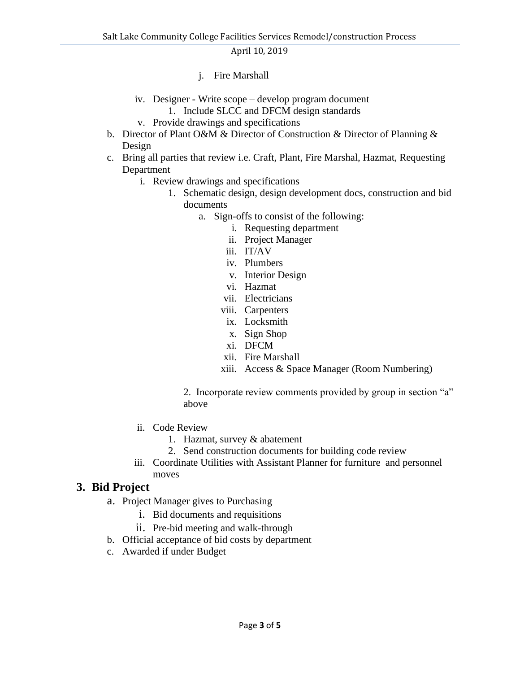- j. Fire Marshall
- iv. Designer Write scope develop program document 1. Include SLCC and DFCM design standards
- v. Provide drawings and specifications
- b. Director of Plant O&M & Director of Construction & Director of Planning & Design
- c. Bring all parties that review i.e. Craft, Plant, Fire Marshal, Hazmat, Requesting Department
	- i. Review drawings and specifications
		- 1. Schematic design, design development docs, construction and bid documents
			- a. Sign-offs to consist of the following:
				- i. Requesting department
				- ii. Project Manager
				- iii. IT/AV
				- iv. Plumbers
				- v. Interior Design
				- vi. Hazmat
				- vii. Electricians
				- viii. Carpenters
				- ix. Locksmith
				- x. Sign Shop
				- xi. DFCM
				- xii. Fire Marshall
				- xiii. Access & Space Manager (Room Numbering)

2. Incorporate review comments provided by group in section "a" above

- ii. Code Review
	- 1. Hazmat, survey & abatement
	- 2. Send construction documents for building code review
- iii. Coordinate Utilities with Assistant Planner for furniture and personnel moves

## **3. Bid Project**

- a. Project Manager gives to Purchasing
	- i. Bid documents and requisitions
	- ii. Pre-bid meeting and walk-through
- b. Official acceptance of bid costs by department
- c. Awarded if under Budget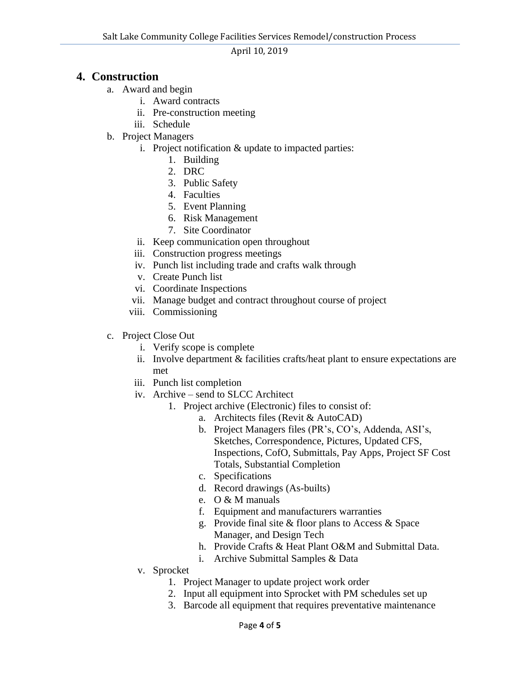## **4. Construction**

- a. Award and begin
	- i. Award contracts
	- ii. Pre-construction meeting
	- iii. Schedule
- b. Project Managers
	- i. Project notification & update to impacted parties:
		- 1. Building
		- 2. DRC
		- 3. Public Safety
		- 4. Faculties
		- 5. Event Planning
		- 6. Risk Management
		- 7. Site Coordinator
	- ii. Keep communication open throughout
	- iii. Construction progress meetings
	- iv. Punch list including trade and crafts walk through
	- v. Create Punch list
	- vi. Coordinate Inspections
	- vii. Manage budget and contract throughout course of project
	- viii. Commissioning
- c. Project Close Out
	- i. Verify scope is complete
	- ii. Involve department & facilities crafts/heat plant to ensure expectations are met
	- iii. Punch list completion
	- iv. Archive send to SLCC Architect
		- 1. Project archive (Electronic) files to consist of:
			- a. Architects files (Revit & AutoCAD)
			- b. Project Managers files (PR's, CO's, Addenda, ASI's, Sketches, Correspondence, Pictures, Updated CFS, Inspections, CofO, Submittals, Pay Apps, Project SF Cost Totals, Substantial Completion
			- c. Specifications
			- d. Record drawings (As-builts)
			- e. O & M manuals
			- f. Equipment and manufacturers warranties
			- g. Provide final site & floor plans to Access & Space Manager, and Design Tech
			- h. Provide Crafts & Heat Plant O&M and Submittal Data.
			- i. Archive Submittal Samples & Data
	- v. Sprocket
		- 1. Project Manager to update project work order
		- 2. Input all equipment into Sprocket with PM schedules set up
		- 3. Barcode all equipment that requires preventative maintenance